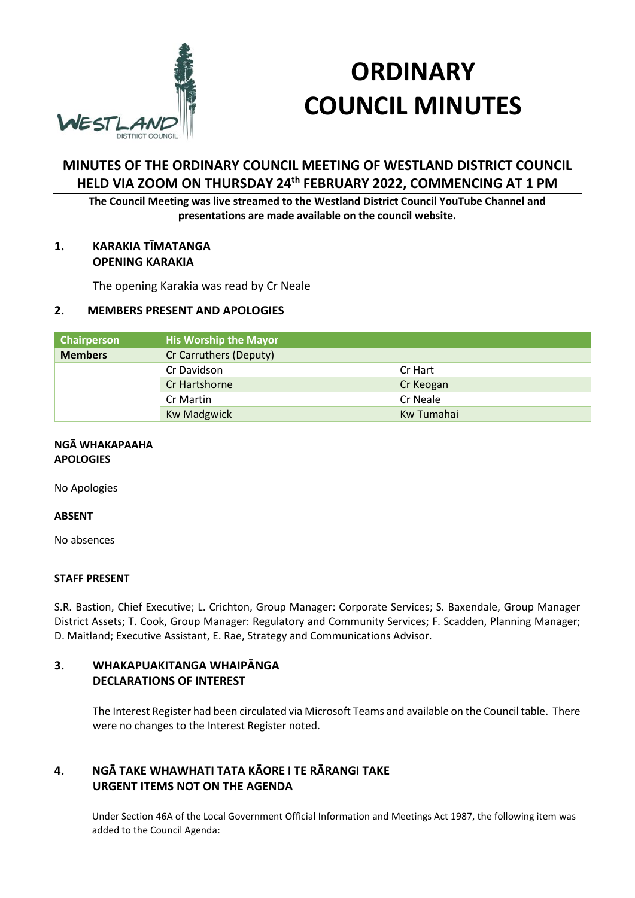

# **ORDINARY COUNCIL MINUTES**

# **MINUTES OF THE ORDINARY COUNCIL MEETING OF WESTLAND DISTRICT COUNCIL HELD VIA ZOOM ON THURSDAY 24th FEBRUARY 2022, COMMENCING AT 1 PM**

**The Council Meeting was live streamed to the Westland District Council YouTube Channel and presentations are made available on the council website.** 

#### **1. KARAKIA TĪMATANGA OPENING KARAKIA**

The opening Karakia was read by Cr Neale

#### **2. MEMBERS PRESENT AND APOLOGIES**

| <b>Chairperson</b> | <b>His Worship the Mayor</b> |            |
|--------------------|------------------------------|------------|
| <b>Members</b>     | Cr Carruthers (Deputy)       |            |
|                    | Cr Davidson                  | Cr Hart    |
|                    | Cr Hartshorne                | Cr Keogan  |
|                    | Cr Martin                    | Cr Neale   |
|                    | <b>Kw Madgwick</b>           | Kw Tumahai |

#### **NGĀ WHAKAPAAHA APOLOGIES**

No Apologies

#### **ABSENT**

No absences

#### **STAFF PRESENT**

S.R. Bastion, Chief Executive; L. Crichton, Group Manager: Corporate Services; S. Baxendale, Group Manager District Assets; T. Cook, Group Manager: Regulatory and Community Services; F. Scadden, Planning Manager; D. Maitland; Executive Assistant, E. Rae, Strategy and Communications Advisor.

#### **3. WHAKAPUAKITANGA WHAIPĀNGA DECLARATIONS OF INTEREST**

The Interest Register had been circulated via Microsoft Teams and available on the Council table. There were no changes to the Interest Register noted.

## **4. NGĀ TAKE WHAWHATI TATA KĀORE I TE RĀRANGI TAKE URGENT ITEMS NOT ON THE AGENDA**

Under Section 46A of the Local Government Official Information and Meetings Act 1987, the following item was added to the Council Agenda: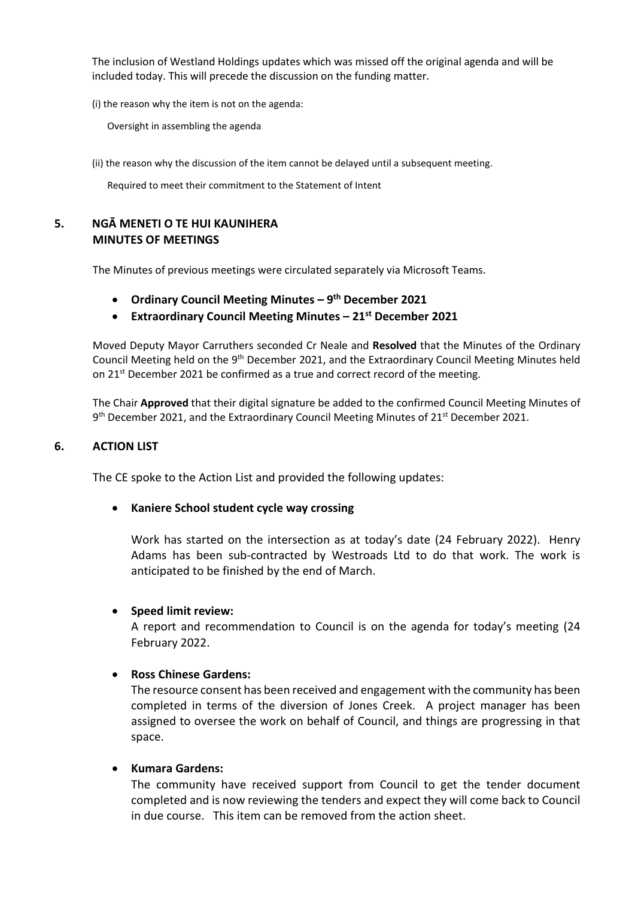The inclusion of Westland Holdings updates which was missed off the original agenda and will be included today. This will precede the discussion on the funding matter.

(i) the reason why the item is not on the agenda:

Oversight in assembling the agenda

(ii) the reason why the discussion of the item cannot be delayed until a subsequent meeting.

Required to meet their commitment to the Statement of Intent

#### **5. NGĀ MENETI O TE HUI KAUNIHERA MINUTES OF MEETINGS**

The Minutes of previous meetings were circulated separately via Microsoft Teams.

- **Ordinary Council Meeting Minutes 9th December 2021**
- **Extraordinary Council Meeting Minutes 21st December 2021**

Moved Deputy Mayor Carruthers seconded Cr Neale and **Resolved** that the Minutes of the Ordinary Council Meeting held on the 9<sup>th</sup> December 2021, and the Extraordinary Council Meeting Minutes held on  $21^{st}$  December 2021 be confirmed as a true and correct record of the meeting.

The Chair **Approved** that their digital signature be added to the confirmed Council Meeting Minutes of 9<sup>th</sup> December 2021, and the Extraordinary Council Meeting Minutes of 21<sup>st</sup> December 2021.

#### **6. ACTION LIST**

The CE spoke to the Action List and provided the following updates:

#### **Kaniere School student cycle way crossing**

Work has started on the intersection as at today's date (24 February 2022). Henry Adams has been sub-contracted by Westroads Ltd to do that work. The work is anticipated to be finished by the end of March.

#### **Speed limit review:**

A report and recommendation to Council is on the agenda for today's meeting (24 February 2022.

#### **Ross Chinese Gardens:**

The resource consent has been received and engagement with the community has been completed in terms of the diversion of Jones Creek. A project manager has been assigned to oversee the work on behalf of Council, and things are progressing in that space.

#### **Kumara Gardens:**

The community have received support from Council to get the tender document completed and is now reviewing the tenders and expect they will come back to Council in due course. This item can be removed from the action sheet.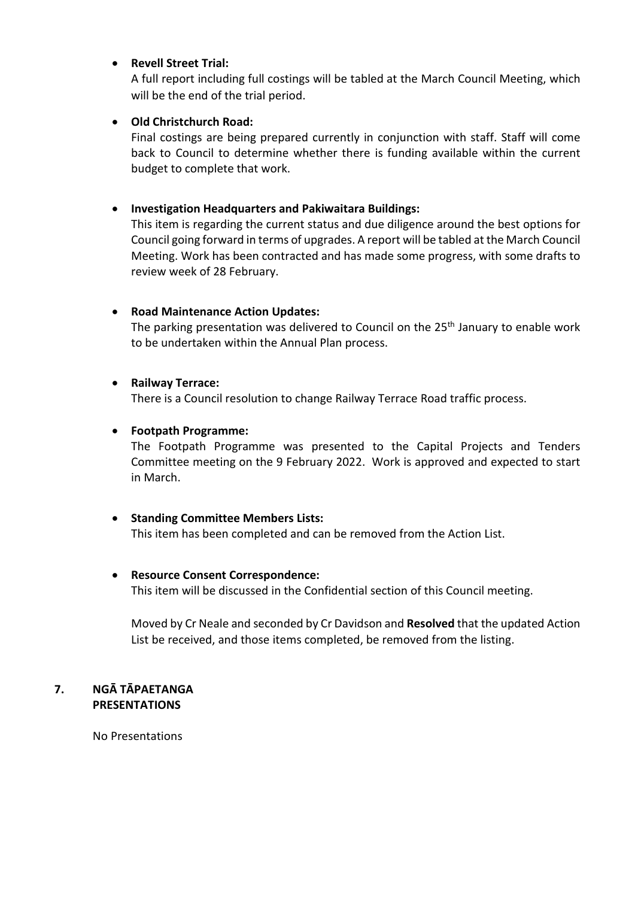#### **Revell Street Trial:**

A full report including full costings will be tabled at the March Council Meeting, which will be the end of the trial period.

## **Old Christchurch Road:**

Final costings are being prepared currently in conjunction with staff. Staff will come back to Council to determine whether there is funding available within the current budget to complete that work.

#### **Investigation Headquarters and Pakiwaitara Buildings:**

This item is regarding the current status and due diligence around the best options for Council going forward in terms of upgrades. A report will be tabled at the March Council Meeting. Work has been contracted and has made some progress, with some drafts to review week of 28 February.

#### **Road Maintenance Action Updates:**

The parking presentation was delivered to Council on the 25<sup>th</sup> January to enable work to be undertaken within the Annual Plan process.

#### **Railway Terrace:**

There is a Council resolution to change Railway Terrace Road traffic process.

#### **Footpath Programme:**

The Footpath Programme was presented to the Capital Projects and Tenders Committee meeting on the 9 February 2022. Work is approved and expected to start in March.

#### **•** Standing Committee Members Lists:

This item has been completed and can be removed from the Action List.

#### **Resource Consent Correspondence:**

This item will be discussed in the Confidential section of this Council meeting.

Moved by Cr Neale and seconded by Cr Davidson and **Resolved** that the updated Action List be received, and those items completed, be removed from the listing.

#### **7. NGĀ TĀPAETANGA PRESENTATIONS**

No Presentations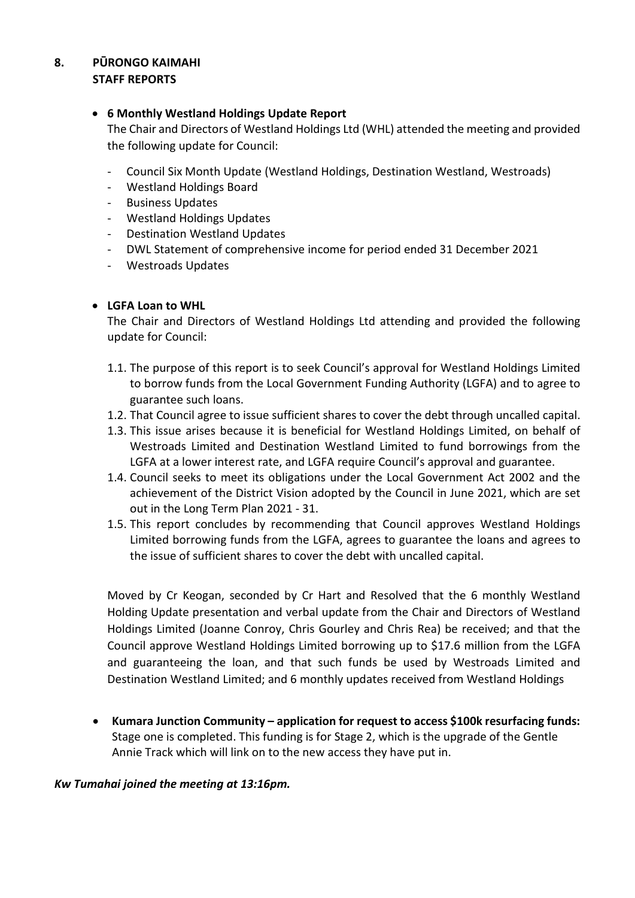#### **8. PŪRONGO KAIMAHI STAFF REPORTS**

#### **6 Monthly Westland Holdings Update Report**

The Chair and Directors of Westland Holdings Ltd (WHL) attended the meeting and provided the following update for Council:

- Council Six Month Update (Westland Holdings, Destination Westland, Westroads)
- Westland Holdings Board
- **Business Updates**
- Westland Holdings Updates
- Destination Westland Updates
- DWL Statement of comprehensive income for period ended 31 December 2021
- Westroads Updates

## **LGFA Loan to WHL**

The Chair and Directors of Westland Holdings Ltd attending and provided the following update for Council:

- 1.1. The purpose of this report is to seek Council's approval for Westland Holdings Limited to borrow funds from the Local Government Funding Authority (LGFA) and to agree to guarantee such loans.
- 1.2. That Council agree to issue sufficient shares to cover the debt through uncalled capital.
- 1.3. This issue arises because it is beneficial for Westland Holdings Limited, on behalf of Westroads Limited and Destination Westland Limited to fund borrowings from the LGFA at a lower interest rate, and LGFA require Council's approval and guarantee.
- 1.4. Council seeks to meet its obligations under the Local Government Act 2002 and the achievement of the District Vision adopted by the Council in June 2021, which are set out in the Long Term Plan 2021 - 31.
- 1.5. This report concludes by recommending that Council approves Westland Holdings Limited borrowing funds from the LGFA, agrees to guarantee the loans and agrees to the issue of sufficient shares to cover the debt with uncalled capital.

Moved by Cr Keogan, seconded by Cr Hart and Resolved that the 6 monthly Westland Holding Update presentation and verbal update from the Chair and Directors of Westland Holdings Limited (Joanne Conroy, Chris Gourley and Chris Rea) be received; and that the Council approve Westland Holdings Limited borrowing up to \$17.6 million from the LGFA and guaranteeing the loan, and that such funds be used by Westroads Limited and Destination Westland Limited; and 6 monthly updates received from Westland Holdings

 **Kumara Junction Community – application for request to access \$100k resurfacing funds:** Stage one is completed. This funding is for Stage 2, which is the upgrade of the Gentle Annie Track which will link on to the new access they have put in.

## *Kw Tumahai joined the meeting at 13:16pm.*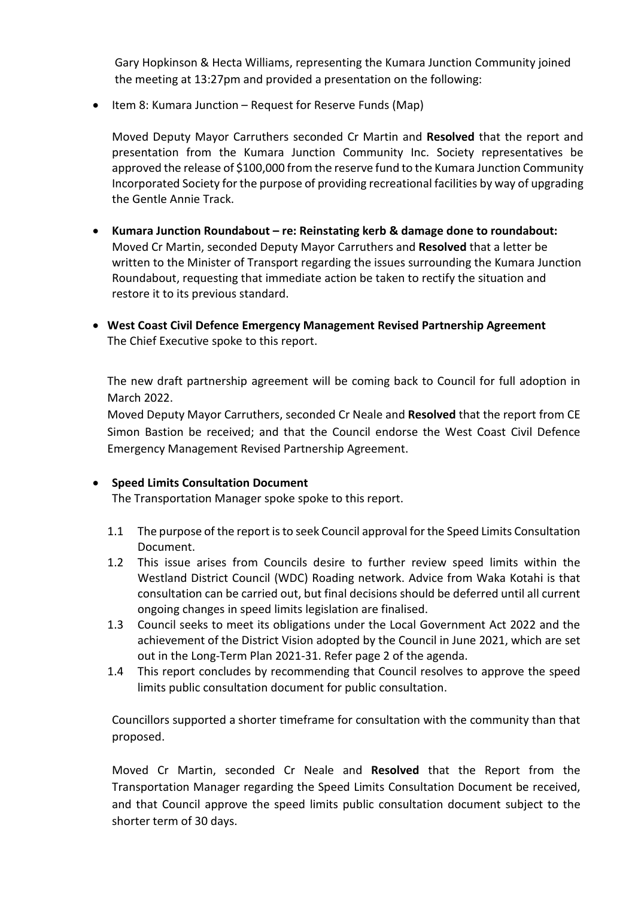Gary Hopkinson & Hecta Williams, representing the Kumara Junction Community joined the meeting at 13:27pm and provided a presentation on the following:

• Item 8: Kumara Junction – Request for Reserve Funds (Map)

Moved Deputy Mayor Carruthers seconded Cr Martin and **Resolved** that the report and presentation from the Kumara Junction Community Inc. Society representatives be approved the release of \$100,000 from the reserve fund to the Kumara Junction Community Incorporated Society for the purpose of providing recreational facilities by way of upgrading the Gentle Annie Track.

- **Kumara Junction Roundabout re: Reinstating kerb & damage done to roundabout:** Moved Cr Martin, seconded Deputy Mayor Carruthers and **Resolved** that a letter be written to the Minister of Transport regarding the issues surrounding the Kumara Junction Roundabout, requesting that immediate action be taken to rectify the situation and restore it to its previous standard.
- **West Coast Civil Defence Emergency Management Revised Partnership Agreement**  The Chief Executive spoke to this report.

The new draft partnership agreement will be coming back to Council for full adoption in March 2022.

Moved Deputy Mayor Carruthers, seconded Cr Neale and **Resolved** that the report from CE Simon Bastion be received; and that the Council endorse the West Coast Civil Defence Emergency Management Revised Partnership Agreement.

## **•** Speed Limits Consultation Document

The Transportation Manager spoke spoke to this report.

- 1.1 The purpose of the report is to seek Council approval for the Speed Limits Consultation Document.
- 1.2 This issue arises from Councils desire to further review speed limits within the Westland District Council (WDC) Roading network. Advice from Waka Kotahi is that consultation can be carried out, but final decisions should be deferred until all current ongoing changes in speed limits legislation are finalised.
- 1.3 Council seeks to meet its obligations under the Local Government Act 2022 and the achievement of the District Vision adopted by the Council in June 2021, which are set out in the Long-Term Plan 2021-31. Refer page 2 of the agenda.
- 1.4 This report concludes by recommending that Council resolves to approve the speed limits public consultation document for public consultation.

Councillors supported a shorter timeframe for consultation with the community than that proposed.

Moved Cr Martin, seconded Cr Neale and **Resolved** that the Report from the Transportation Manager regarding the Speed Limits Consultation Document be received, and that Council approve the speed limits public consultation document subject to the shorter term of 30 days.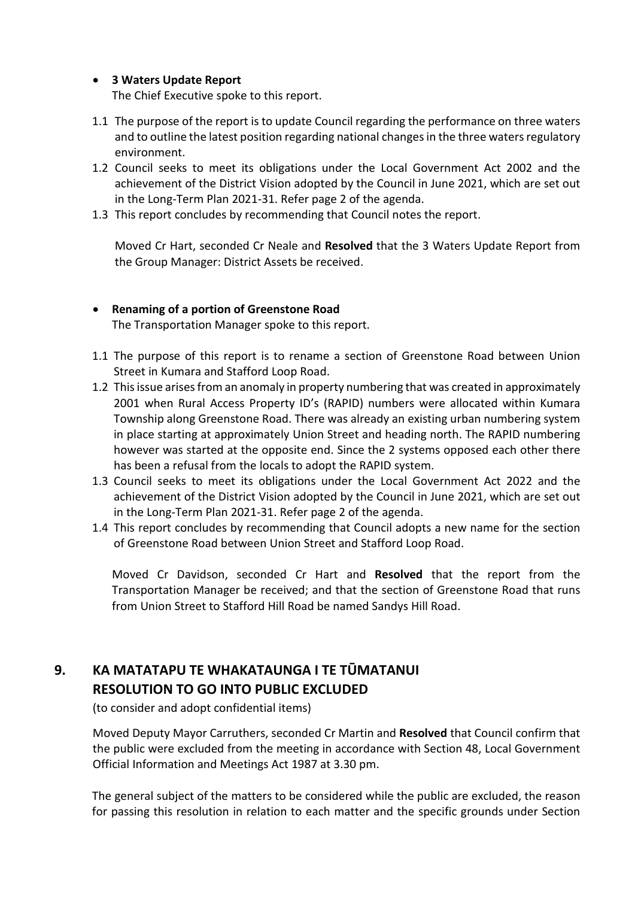#### **3 Waters Update Report**

The Chief Executive spoke to this report.

- 1.1 The purpose of the report is to update Council regarding the performance on three waters and to outline the latest position regarding national changes in the three waters regulatory environment.
- 1.2 Council seeks to meet its obligations under the Local Government Act 2002 and the achievement of the District Vision adopted by the Council in June 2021, which are set out in the Long-Term Plan 2021-31. Refer page 2 of the agenda.
- 1.3 This report concludes by recommending that Council notes the report.

Moved Cr Hart, seconded Cr Neale and **Resolved** that the 3 Waters Update Report from the Group Manager: District Assets be received.

- **Renaming of a portion of Greenstone Road**  The Transportation Manager spoke to this report.
- 1.1 The purpose of this report is to rename a section of Greenstone Road between Union Street in Kumara and Stafford Loop Road.
- 1.2 This issue arises from an anomaly in property numbering that was created in approximately 2001 when Rural Access Property ID's (RAPID) numbers were allocated within Kumara Township along Greenstone Road. There was already an existing urban numbering system in place starting at approximately Union Street and heading north. The RAPID numbering however was started at the opposite end. Since the 2 systems opposed each other there has been a refusal from the locals to adopt the RAPID system.
- 1.3 Council seeks to meet its obligations under the Local Government Act 2022 and the achievement of the District Vision adopted by the Council in June 2021, which are set out in the Long-Term Plan 2021-31. Refer page 2 of the agenda.
- 1.4 This report concludes by recommending that Council adopts a new name for the section of Greenstone Road between Union Street and Stafford Loop Road.

Moved Cr Davidson, seconded Cr Hart and **Resolved** that the report from the Transportation Manager be received; and that the section of Greenstone Road that runs from Union Street to Stafford Hill Road be named Sandys Hill Road.

# **9. KA MATATAPU TE WHAKATAUNGA I TE TŪMATANUI RESOLUTION TO GO INTO PUBLIC EXCLUDED**

(to consider and adopt confidential items)

 Moved Deputy Mayor Carruthers, seconded Cr Martin and **Resolved** that Council confirm that the public were excluded from the meeting in accordance with Section 48, Local Government Official Information and Meetings Act 1987 at 3.30 pm.

The general subject of the matters to be considered while the public are excluded, the reason for passing this resolution in relation to each matter and the specific grounds under Section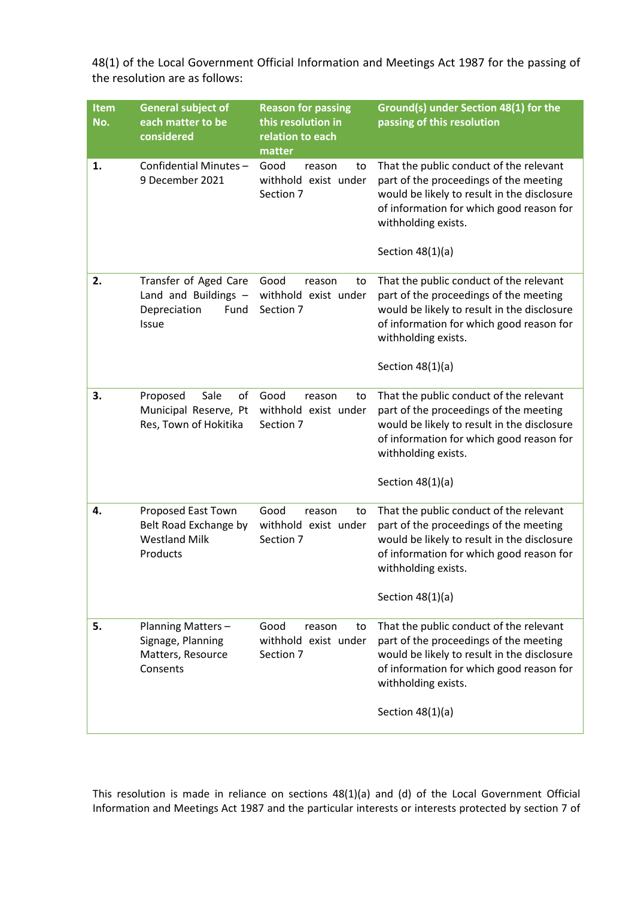| <b>Item</b><br>No. | <b>General subject of</b><br>each matter to be<br>considered                    | <b>Reason for passing</b><br>this resolution in<br>relation to each<br>matter | Ground(s) under Section 48(1) for the<br>passing of this resolution                                                                                                                                                       |
|--------------------|---------------------------------------------------------------------------------|-------------------------------------------------------------------------------|---------------------------------------------------------------------------------------------------------------------------------------------------------------------------------------------------------------------------|
| 1.                 | Confidential Minutes-<br>9 December 2021                                        | Good<br>reason<br>to<br>withhold exist under<br>Section 7                     | That the public conduct of the relevant<br>part of the proceedings of the meeting<br>would be likely to result in the disclosure<br>of information for which good reason for<br>withholding exists.<br>Section $48(1)(a)$ |
| 2.                 | Transfer of Aged Care<br>Land and Buildings -<br>Depreciation<br>Fund<br>Issue  | Good<br>reason<br>to<br>withhold exist under<br>Section 7                     | That the public conduct of the relevant<br>part of the proceedings of the meeting<br>would be likely to result in the disclosure<br>of information for which good reason for<br>withholding exists.<br>Section $48(1)(a)$ |
| 3.                 | Sale<br>Proposed<br>of<br>Municipal Reserve, Pt<br>Res, Town of Hokitika        | Good<br>reason<br>to<br>withhold exist under<br>Section 7                     | That the public conduct of the relevant<br>part of the proceedings of the meeting<br>would be likely to result in the disclosure<br>of information for which good reason for<br>withholding exists.<br>Section $48(1)(a)$ |
| 4.                 | Proposed East Town<br>Belt Road Exchange by<br><b>Westland Milk</b><br>Products | Good<br>reason<br>to<br>withhold exist under<br>Section 7                     | That the public conduct of the relevant<br>part of the proceedings of the meeting<br>would be likely to result in the disclosure<br>of information for which good reason for<br>withholding exists.<br>Section $48(1)(a)$ |
| 5.                 | Planning Matters-<br>Signage, Planning<br>Matters, Resource<br>Consents         | Good<br>reason<br>to<br>withhold exist under<br>Section 7                     | That the public conduct of the relevant<br>part of the proceedings of the meeting<br>would be likely to result in the disclosure<br>of information for which good reason for<br>withholding exists.<br>Section $48(1)(a)$ |

48(1) of the Local Government Official Information and Meetings Act 1987 for the passing of the resolution are as follows:

This resolution is made in reliance on sections 48(1)(a) and (d) of the Local Government Official Information and Meetings Act 1987 and the particular interests or interests protected by section 7 of